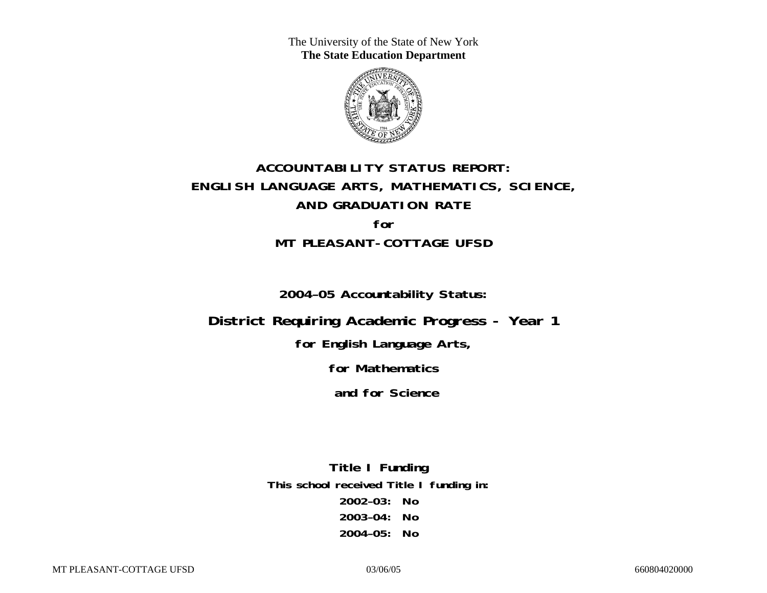The University of the State of New York **The State Education Department** 



# **ACCOUNTABILITY STATUS REPORT: ENGLISH LANGUAGE ARTS, MATHEMATICS, SCIENCE, AND GRADUATION RATE for MT PLEASANT-COTTAGE UFSD**

**2004–05 Accountability Status:** 

**District Requiring Academic Progress - Year 1** 

**for English Language Arts,** 

**for Mathematics** 

 **and for Science**

**Title I Funding This school received Title I funding in: 2002–03: No 2003–04: No 2004–05: No**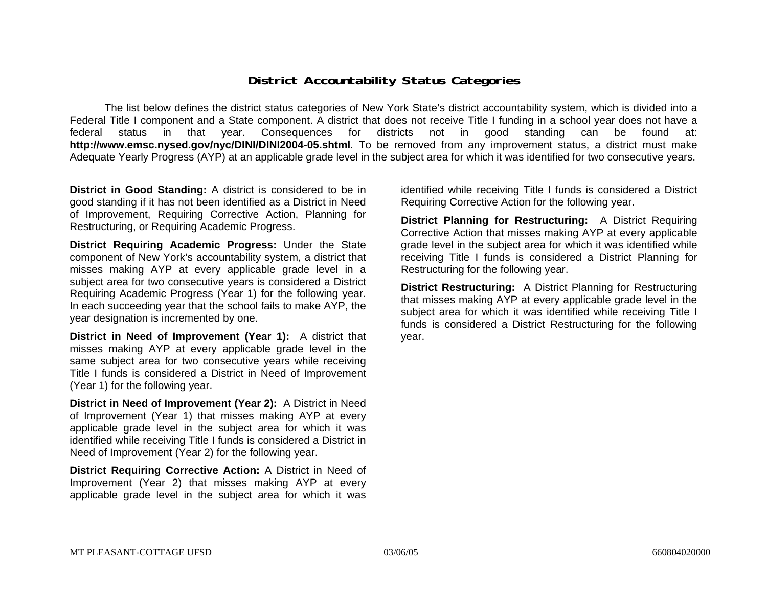### **District Accountability Status Categories**

The list below defines the district status categories of New York State's district accountability system, which is divided into a Federal Title I component and a State component. A district that does not receive Title I funding in a school year does not have a federal status in that year. Consequences for districts not in good standing can be found at: **http://www.emsc.nysed.gov/nyc/DINI/DINI2004-05.shtml**. To be removed from any improvement status, a district must make Adequate Yearly Progress (AYP) at an applicable grade level in the subject area for which it was identified for two consecutive years.

**District in Good Standing:** A district is considered to be in good standing if it has not been identified as a District in Need of Improvement, Requiring Corrective Action, Planning for Restructuring, or Requiring Academic Progress.

**District Requiring Academic Progress:** Under the State component of New York's accountability system, a district that misses making AYP at every applicable grade level in a subject area for two consecutive years is considered a District Requiring Academic Progress (Year 1) for the following year. In each succeeding year that the school fails to make AYP, the year designation is incremented by one.

**District in Need of Improvement (Year 1):** A district that misses making AYP at every applicable grade level in the same subject area for two consecutive years while receiving Title I funds is considered a District in Need of Improvement (Year 1) for the following year.

**District in Need of Improvement (Year 2):** A District in Need of Improvement (Year 1) that misses making AYP at every applicable grade level in the subject area for which it was identified while receiving Title I funds is considered a District in Need of Improvement (Year 2) for the following year.

**District Requiring Corrective Action:** A District in Need of Improvement (Year 2) that misses making AYP at every applicable grade level in the subject area for which it was

identified while receiving Title I funds is considered a District Requiring Corrective Action for the following year.

**District Planning for Restructuring:** A District Requiring Corrective Action that misses making AYP at every applicable grade level in the subject area for which it was identified while receiving Title I funds is considered a District Planning for Restructuring for the following year.

**District Restructuring:** A District Planning for Restructuring that misses making AYP at every applicable grade level in the subject area for which it was identified while receiving Title I funds is considered a District Restructuring for the following year.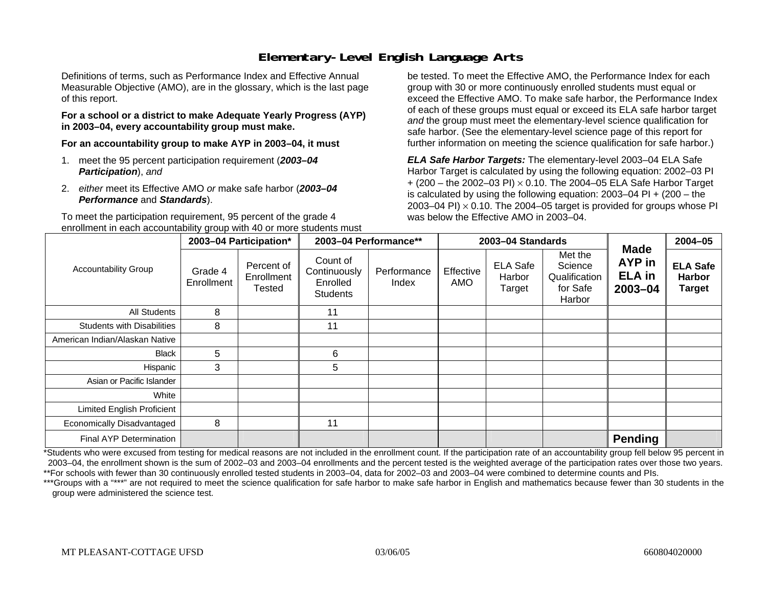## **Elementary-Level English Language Arts**

Definitions of terms, such as Performance Index and Effective Annual Measurable Objective (AMO), are in the glossary, which is the last page of this report.

#### **For a school or a district to make Adequate Yearly Progress (AYP) in 2003–04, every accountability group must make.**

**For an accountability group to make AYP in 2003–04, it must** 

- 1. meet the 95 percent participation requirement (*2003–04 Participation*), *and*
- 2. *either* meet its Effective AMO *or* make safe harbor (*2003–04 Performance* and *Standards*).

To meet the participation requirement, 95 percent of the grade 4 enrollment in each accountability group with 40 or more students must

be tested. To meet the Effective AMO, the Performance Index for each group with 30 or more continuously enrolled students must equal or exceed the Effective AMO. To make safe harbor, the Performance Index of each of these groups must equal or exceed its ELA safe harbor target *and* the group must meet the elementary-level science qualification for safe harbor. (See the elementary-level science page of this report for further information on meeting the science qualification for safe harbor.)

*ELA Safe Harbor Targets:* The elementary-level 2003–04 ELA Safe Harbor Target is calculated by using the following equation: 2002–03 PI + (200 – the 2002–03 PI) <sup>×</sup> 0.10. The 2004–05 ELA Safe Harbor Target is calculated by using the following equation: 2003–04 PI + (200 – the 2003–04 PI)  $\times$  0.10. The 2004–05 target is provided for groups whose PI was below the Effective AMO in 2003–04.

|                                   |                       | 2003-04 Participation*             | 2003-04 Performance**                                   |                      |                  | 2003-04 Standards                   |                                                           | <b>Made</b>                        | 2004-05                                    |
|-----------------------------------|-----------------------|------------------------------------|---------------------------------------------------------|----------------------|------------------|-------------------------------------|-----------------------------------------------------------|------------------------------------|--------------------------------------------|
| <b>Accountability Group</b>       | Grade 4<br>Enrollment | Percent of<br>Enrollment<br>Tested | Count of<br>Continuously<br>Enrolled<br><b>Students</b> | Performance<br>Index | Effective<br>AMO | <b>ELA Safe</b><br>Harbor<br>Target | Met the<br>Science<br>Qualification<br>for Safe<br>Harbor | AYP in<br><b>ELA</b> in<br>2003-04 | <b>ELA Safe</b><br>Harbor<br><b>Target</b> |
| All Students                      | 8                     |                                    | 11                                                      |                      |                  |                                     |                                                           |                                    |                                            |
| <b>Students with Disabilities</b> | 8                     |                                    | 11                                                      |                      |                  |                                     |                                                           |                                    |                                            |
| American Indian/Alaskan Native    |                       |                                    |                                                         |                      |                  |                                     |                                                           |                                    |                                            |
| <b>Black</b>                      | 5                     |                                    | 6                                                       |                      |                  |                                     |                                                           |                                    |                                            |
| Hispanic                          | 3                     |                                    | 5                                                       |                      |                  |                                     |                                                           |                                    |                                            |
| Asian or Pacific Islander         |                       |                                    |                                                         |                      |                  |                                     |                                                           |                                    |                                            |
| White                             |                       |                                    |                                                         |                      |                  |                                     |                                                           |                                    |                                            |
| Limited English Proficient        |                       |                                    |                                                         |                      |                  |                                     |                                                           |                                    |                                            |
| Economically Disadvantaged        | 8                     |                                    | 11                                                      |                      |                  |                                     |                                                           |                                    |                                            |
| Final AYP Determination           |                       |                                    |                                                         |                      |                  |                                     |                                                           | <b>Pending</b>                     |                                            |

\*Students who were excused from testing for medical reasons are not included in the enrollment count. If the participation rate of an accountability group fell below 95 percent in 2003–04, the enrollment shown is the sum of 2002–03 and 2003–04 enrollments and the percent tested is the weighted average of the participation rates over those two years. \*\*For schools with fewer than 30 continuously enrolled tested students in 2003–04, data for 2002–03 and 2003–04 were combined to determine counts and PIs.

\*\*\*Groups with a "\*\*\*" are not required to meet the science qualification for safe harbor to make safe harbor in English and mathematics because fewer than 30 students in the group were administered the science test.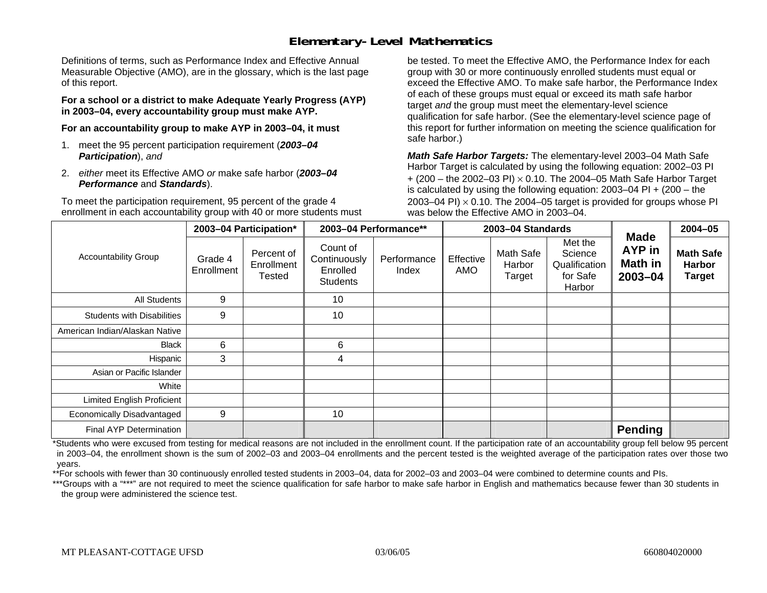### **Elementary-Level Mathematics**

Definitions of terms, such as Performance Index and Effective Annual Measurable Objective (AMO), are in the glossary, which is the last page of this report.

**For a school or a district to make Adequate Yearly Progress (AYP) in 2003–04, every accountability group must make AYP.** 

**For an accountability group to make AYP in 2003–04, it must** 

- 1. meet the 95 percent participation requirement (*2003–04 Participation*), *and*
- 2. *either* meet its Effective AMO *or* make safe harbor (*2003–04 Performance* and *Standards*).

To meet the participation requirement, 95 percent of the grade 4 enrollment in each accountability group with 40 or more students must be tested. To meet the Effective AMO, the Performance Index for each group with 30 or more continuously enrolled students must equal or exceed the Effective AMO. To make safe harbor, the Performance Index of each of these groups must equal or exceed its math safe harbor target *and* the group must meet the elementary-level science qualification for safe harbor. (See the elementary-level science page of this report for further information on meeting the science qualification for safe harbor.)

*Math Safe Harbor Targets:* The elementary-level 2003–04 Math Safe Harbor Target is calculated by using the following equation: 2002–03 PI + (200 – the 2002–03 PI) <sup>×</sup> 0.10. The 2004–05 Math Safe Harbor Target is calculated by using the following equation: 2003–04 PI + (200 – the 2003–04 PI)  $\times$  0.10. The 2004–05 target is provided for groups whose PI was below the Effective AMO in 2003–04.

|                                   |                       | 2003-04 Participation*                    |                                                         | 2003-04 Performance** |                  | 2003-04 Standards             |                                                           | <b>Made</b>                  | 2004-05                                            |
|-----------------------------------|-----------------------|-------------------------------------------|---------------------------------------------------------|-----------------------|------------------|-------------------------------|-----------------------------------------------------------|------------------------------|----------------------------------------------------|
| <b>Accountability Group</b>       | Grade 4<br>Enrollment | Percent of<br>Enrollment<br><b>Tested</b> | Count of<br>Continuously<br>Enrolled<br><b>Students</b> | Performance<br>Index  | Effective<br>AMO | Math Safe<br>Harbor<br>Target | Met the<br>Science<br>Qualification<br>for Safe<br>Harbor | AYP in<br>Math in<br>2003-04 | <b>Math Safe</b><br><b>Harbor</b><br><b>Target</b> |
| <b>All Students</b>               | 9                     |                                           | 10                                                      |                       |                  |                               |                                                           |                              |                                                    |
| <b>Students with Disabilities</b> | 9                     |                                           | 10                                                      |                       |                  |                               |                                                           |                              |                                                    |
| American Indian/Alaskan Native    |                       |                                           |                                                         |                       |                  |                               |                                                           |                              |                                                    |
| <b>Black</b>                      | 6                     |                                           | 6                                                       |                       |                  |                               |                                                           |                              |                                                    |
| Hispanic                          | 3                     |                                           | 4                                                       |                       |                  |                               |                                                           |                              |                                                    |
| Asian or Pacific Islander         |                       |                                           |                                                         |                       |                  |                               |                                                           |                              |                                                    |
| White                             |                       |                                           |                                                         |                       |                  |                               |                                                           |                              |                                                    |
| <b>Limited English Proficient</b> |                       |                                           |                                                         |                       |                  |                               |                                                           |                              |                                                    |
| Economically Disadvantaged        | 9                     |                                           | 10                                                      |                       |                  |                               |                                                           |                              |                                                    |
| Final AYP Determination           |                       |                                           |                                                         |                       |                  |                               |                                                           | <b>Pending</b>               |                                                    |

\*Students who were excused from testing for medical reasons are not included in the enrollment count. If the participation rate of an accountability group fell below 95 percent in 2003–04, the enrollment shown is the sum of 2002–03 and 2003–04 enrollments and the percent tested is the weighted average of the participation rates over those two years.

\*\*For schools with fewer than 30 continuously enrolled tested students in 2003–04, data for 2002–03 and 2003–04 were combined to determine counts and PIs.

\*\*\*Groups with a "\*\*\*" are not required to meet the science qualification for safe harbor to make safe harbor in English and mathematics because fewer than 30 students in the group were administered the science test.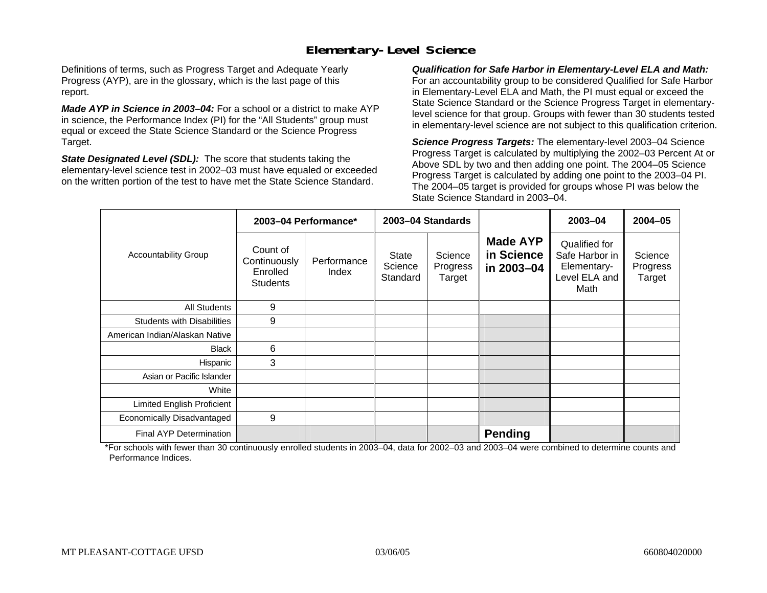### **Elementary-Level Science**

Definitions of terms, such as Progress Target and Adequate Yearly Progress (AYP), are in the glossary, which is the last page of this report.

*Made AYP in Science in 2003–04:* For a school or a district to make AYP in science, the Performance Index (PI) for the "All Students" group must equal or exceed the State Science Standard or the Science Progress Target.

*State Designated Level (SDL):* The score that students taking the elementary-level science test in 2002–03 must have equaled or exceeded on the written portion of the test to have met the State Science Standard.

*Qualification for Safe Harbor in Elementary-Level ELA and Math:* For an accountability group to be considered Qualified for Safe Harbor in Elementary-Level ELA and Math, the PI must equal or exceed the State Science Standard or the Science Progress Target in elementarylevel science for that group. Groups with fewer than 30 students tested in elementary-level science are not subject to this qualification criterion.

*Science Progress Targets:* The elementary-level 2003–04 Science Progress Target is calculated by multiplying the 2002–03 Percent At or Above SDL by two and then adding one point. The 2004–05 Science Progress Target is calculated by adding one point to the 2003–04 PI. The 2004–05 target is provided for groups whose PI was below the State Science Standard in 2003–04.

|                                   |                                                         | 2003-04 Performance* |                                     | 2003-04 Standards             |                                             | $2003 - 04$                                                             | $2004 - 05$                   |
|-----------------------------------|---------------------------------------------------------|----------------------|-------------------------------------|-------------------------------|---------------------------------------------|-------------------------------------------------------------------------|-------------------------------|
| <b>Accountability Group</b>       | Count of<br>Continuously<br>Enrolled<br><b>Students</b> | Performance<br>Index | <b>State</b><br>Science<br>Standard | Science<br>Progress<br>Target | <b>Made AYP</b><br>in Science<br>in 2003-04 | Qualified for<br>Safe Harbor in<br>Elementary-<br>Level ELA and<br>Math | Science<br>Progress<br>Target |
| All Students                      | 9                                                       |                      |                                     |                               |                                             |                                                                         |                               |
| <b>Students with Disabilities</b> | 9                                                       |                      |                                     |                               |                                             |                                                                         |                               |
| American Indian/Alaskan Native    |                                                         |                      |                                     |                               |                                             |                                                                         |                               |
| <b>Black</b>                      | 6                                                       |                      |                                     |                               |                                             |                                                                         |                               |
| Hispanic                          | 3                                                       |                      |                                     |                               |                                             |                                                                         |                               |
| Asian or Pacific Islander         |                                                         |                      |                                     |                               |                                             |                                                                         |                               |
| White                             |                                                         |                      |                                     |                               |                                             |                                                                         |                               |
| Limited English Proficient        |                                                         |                      |                                     |                               |                                             |                                                                         |                               |
| Economically Disadvantaged        | 9                                                       |                      |                                     |                               |                                             |                                                                         |                               |
| <b>Final AYP Determination</b>    |                                                         |                      |                                     |                               | <b>Pending</b>                              |                                                                         |                               |

\*For schools with fewer than 30 continuously enrolled students in 2003–04, data for 2002–03 and 2003–04 were combined to determine counts and Performance Indices.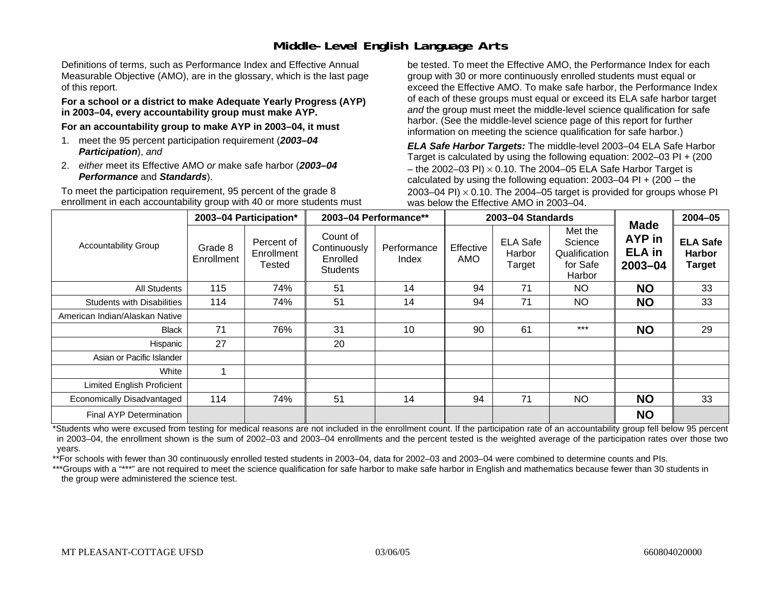## **Middle-Level English Language Arts**

Definitions of terms, such as Performance Index and Effective Annual Measurable Objective (AMO), are in the glossary, which is the last page of this report.

#### **For a school or a district to make Adequate Yearly Progress (AYP) in 2003–04, every accountability group must make AYP.**

**For an accountability group to make AYP in 2003–04, it must** 

- 1. meet the 95 percent participation requirement (*2003–04 Participation*), *and*
- 2. *either* meet its Effective AMO *or* make safe harbor (*2003–04 Performance* and *Standards*).

To meet the participation requirement, 95 percent of the grade 8 enrollment in each accountability group with 40 or more students must be tested. To meet the Effective AMO, the Performance Index for each group with 30 or more continuously enrolled students must equal or exceed the Effective AMO. To make safe harbor, the Performance Index of each of these groups must equal or exceed its ELA safe harbor target *and* the group must meet the middle-level science qualification for safe harbor. (See the middle-level science page of this report for further information on meeting the science qualification for safe harbor.)

*ELA Safe Harbor Targets:* The middle-level 2003–04 ELA Safe Harbor Target is calculated by using the following equation: 2002–03 PI + (200 – the 2002–03 PI)  $\times$  0.10. The 2004–05 ELA Safe Harbor Target is calculated by using the following equation:  $2003-04$  PI +  $(200 -$ the 2003–04 PI)  $\times$  0.10. The 2004–05 target is provided for groups whose PI was below the Effective AMO in 2003–04.

|                                   |                       | 2003-04 Participation*             | 2003-04 Performance**                                   |                      |                  | 2003-04 Standards                   |                                                           |                                                       | $2004 - 05$                                       |
|-----------------------------------|-----------------------|------------------------------------|---------------------------------------------------------|----------------------|------------------|-------------------------------------|-----------------------------------------------------------|-------------------------------------------------------|---------------------------------------------------|
| <b>Accountability Group</b>       | Grade 8<br>Enrollment | Percent of<br>Enrollment<br>Tested | Count of<br>Continuously<br>Enrolled<br><b>Students</b> | Performance<br>Index | Effective<br>AMO | <b>ELA Safe</b><br>Harbor<br>Target | Met the<br>Science<br>Qualification<br>for Safe<br>Harbor | <b>Made</b><br>AYP in<br><b>ELA in</b><br>$2003 - 04$ | <b>ELA Safe</b><br><b>Harbor</b><br><b>Target</b> |
| All Students                      | 115                   | 74%                                | 51                                                      | 14                   | 94               | 71                                  | NO.                                                       | <b>NO</b>                                             | 33                                                |
| <b>Students with Disabilities</b> | 114                   | 74%                                | 51                                                      | 14                   | 94               | 71                                  | NO.                                                       | <b>NO</b>                                             | 33                                                |
| American Indian/Alaskan Native    |                       |                                    |                                                         |                      |                  |                                     |                                                           |                                                       |                                                   |
| <b>Black</b>                      | 71                    | 76%                                | 31                                                      | 10                   | 90               | 61                                  | $***$                                                     | <b>NO</b>                                             | 29                                                |
| Hispanic                          | 27                    |                                    | 20                                                      |                      |                  |                                     |                                                           |                                                       |                                                   |
| Asian or Pacific Islander         |                       |                                    |                                                         |                      |                  |                                     |                                                           |                                                       |                                                   |
| White                             |                       |                                    |                                                         |                      |                  |                                     |                                                           |                                                       |                                                   |
| Limited English Proficient        |                       |                                    |                                                         |                      |                  |                                     |                                                           |                                                       |                                                   |
| Economically Disadvantaged        | 114                   | 74%                                | 51                                                      | 14                   | 94               | 71                                  | <b>NO</b>                                                 | <b>NO</b>                                             | 33                                                |
| <b>Final AYP Determination</b>    |                       |                                    |                                                         |                      |                  |                                     |                                                           | <b>NO</b>                                             |                                                   |

\*Students who were excused from testing for medical reasons are not included in the enrollment count. If the participation rate of an accountability group fell below 95 percent in 2003–04, the enrollment shown is the sum of 2002–03 and 2003–04 enrollments and the percent tested is the weighted average of the participation rates over those two years.

\*\*For schools with fewer than 30 continuously enrolled tested students in 2003–04, data for 2002–03 and 2003–04 were combined to determine counts and PIs.

\*\*\*Groups with a "\*\*\*" are not required to meet the science qualification for safe harbor to make safe harbor in English and mathematics because fewer than 30 students in the group were administered the science test.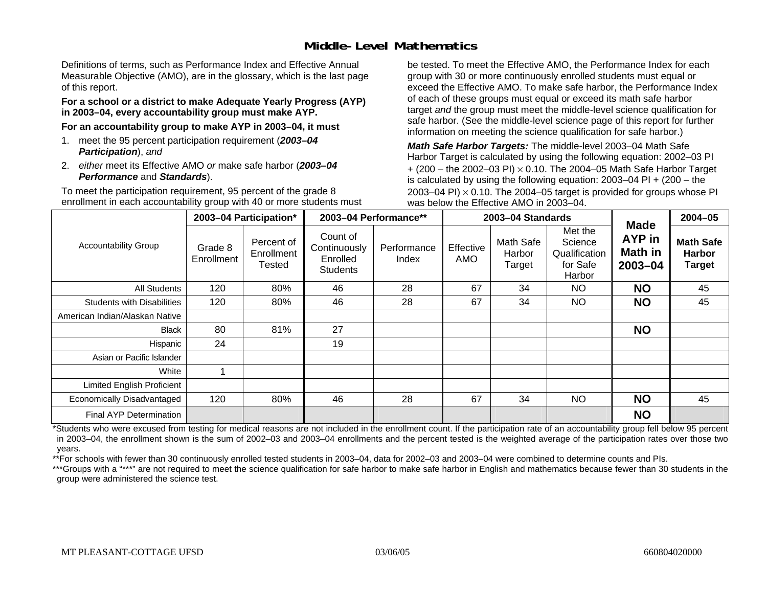### **Middle-Level Mathematics**

Definitions of terms, such as Performance Index and Effective Annual Measurable Objective (AMO), are in the glossary, which is the last page of this report.

#### **For a school or a district to make Adequate Yearly Progress (AYP) in 2003–04, every accountability group must make AYP.**

**For an accountability group to make AYP in 2003–04, it must** 

- 1. meet the 95 percent participation requirement (*2003–04 Participation*), *and*
- 2. *either* meet its Effective AMO *or* make safe harbor (*2003–04 Performance* and *Standards*).

To meet the participation requirement, 95 percent of the grade 8 enrollment in each accountability group with 40 or more students must be tested. To meet the Effective AMO, the Performance Index for each group with 30 or more continuously enrolled students must equal or exceed the Effective AMO. To make safe harbor, the Performance Index of each of these groups must equal or exceed its math safe harbor target *and* the group must meet the middle-level science qualification for safe harbor. (See the middle-level science page of this report for further information on meeting the science qualification for safe harbor.)

*Math Safe Harbor Targets:* The middle-level 2003–04 Math Safe Harbor Target is calculated by using the following equation: 2002–03 PI + (200 – the 2002–03 PI) <sup>×</sup> 0.10. The 2004–05 Math Safe Harbor Target is calculated by using the following equation: 2003–04 PI + (200 – the 2003–04 PI)  $\times$  0.10. The 2004–05 target is provided for groups whose PI was below the Effective AMO in 2003–04.

|                                   |                       | 2003-04 Participation*                    |                                                         | 2003-04 Performance** |                  | 2003-04 Standards             |                                                           |                                                    | $2004 - 05$                                        |
|-----------------------------------|-----------------------|-------------------------------------------|---------------------------------------------------------|-----------------------|------------------|-------------------------------|-----------------------------------------------------------|----------------------------------------------------|----------------------------------------------------|
| <b>Accountability Group</b>       | Grade 8<br>Enrollment | Percent of<br>Enrollment<br><b>Tested</b> | Count of<br>Continuously<br>Enrolled<br><b>Students</b> | Performance<br>Index  | Effective<br>AMO | Math Safe<br>Harbor<br>Target | Met the<br>Science<br>Qualification<br>for Safe<br>Harbor | <b>Made</b><br><b>AYP</b> in<br>Math in<br>2003-04 | <b>Math Safe</b><br><b>Harbor</b><br><b>Target</b> |
| All Students                      | 120                   | 80%                                       | 46                                                      | 28                    | 67               | 34                            | NO                                                        | <b>NO</b>                                          | 45                                                 |
| <b>Students with Disabilities</b> | 120                   | 80%                                       | 46                                                      | 28                    | 67               | 34                            | <b>NO</b>                                                 | <b>NO</b>                                          | 45                                                 |
| American Indian/Alaskan Native    |                       |                                           |                                                         |                       |                  |                               |                                                           |                                                    |                                                    |
| <b>Black</b>                      | 80                    | 81%                                       | 27                                                      |                       |                  |                               |                                                           | <b>NO</b>                                          |                                                    |
| Hispanic                          | 24                    |                                           | 19                                                      |                       |                  |                               |                                                           |                                                    |                                                    |
| Asian or Pacific Islander         |                       |                                           |                                                         |                       |                  |                               |                                                           |                                                    |                                                    |
| White                             |                       |                                           |                                                         |                       |                  |                               |                                                           |                                                    |                                                    |
| <b>Limited English Proficient</b> |                       |                                           |                                                         |                       |                  |                               |                                                           |                                                    |                                                    |
| Economically Disadvantaged        | 120                   | 80%                                       | 46                                                      | 28                    | 67               | 34                            | <b>NO</b>                                                 | <b>NO</b>                                          | 45                                                 |
| Final AYP Determination           |                       |                                           |                                                         |                       |                  |                               |                                                           | <b>NO</b>                                          |                                                    |

\*Students who were excused from testing for medical reasons are not included in the enrollment count. If the participation rate of an accountability group fell below 95 percent in 2003–04, the enrollment shown is the sum of 2002–03 and 2003–04 enrollments and the percent tested is the weighted average of the participation rates over those two years.

\*\*For schools with fewer than 30 continuously enrolled tested students in 2003–04, data for 2002–03 and 2003–04 were combined to determine counts and PIs.

\*\*\*Groups with a "\*\*\*" are not required to meet the science qualification for safe harbor to make safe harbor in English and mathematics because fewer than 30 students in the group were administered the science test.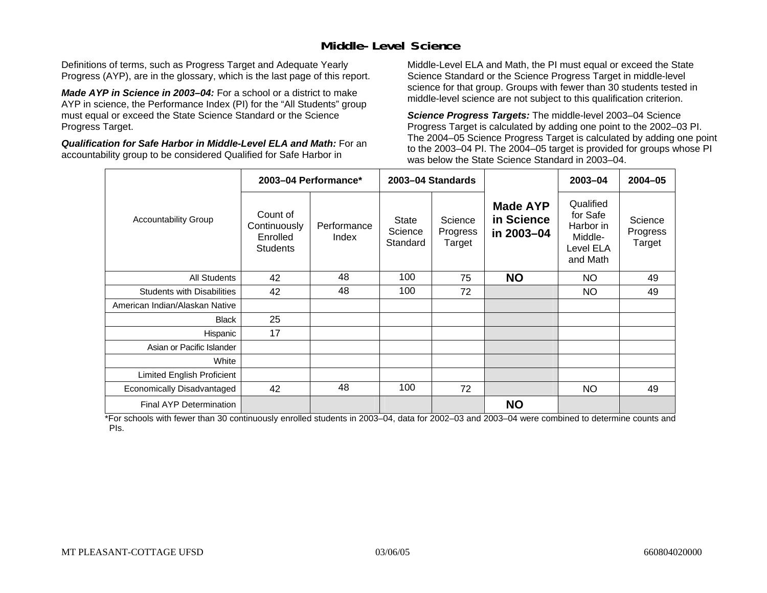### **Middle-Level Science**

Definitions of terms, such as Progress Target and Adequate Yearly Progress (AYP), are in the glossary, which is the last page of this report.

*Made AYP in Science in 2003–04:* For a school or a district to make AYP in science, the Performance Index (PI) for the "All Students" group must equal or exceed the State Science Standard or the Science Progress Target.

*Qualification for Safe Harbor in Middle-Level ELA and Math:* For an accountability group to be considered Qualified for Safe Harbor in

Middle-Level ELA and Math, the PI must equal or exceed the State Science Standard or the Science Progress Target in middle-level science for that group. Groups with fewer than 30 students tested in middle-level science are not subject to this qualification criterion.

*Science Progress Targets:* The middle-level 2003–04 Science Progress Target is calculated by adding one point to the 2002–03 PI. The 2004–05 Science Progress Target is calculated by adding one point to the 2003–04 PI. The 2004–05 target is provided for groups whose PI was below the State Science Standard in 2003–04.

|                                   |                                                         | 2003-04 Performance* |                                     | 2003-04 Standards             |                                             | $2003 - 04$                                                            | $2004 - 05$                   |
|-----------------------------------|---------------------------------------------------------|----------------------|-------------------------------------|-------------------------------|---------------------------------------------|------------------------------------------------------------------------|-------------------------------|
| <b>Accountability Group</b>       | Count of<br>Continuously<br>Enrolled<br><b>Students</b> | Performance<br>Index | <b>State</b><br>Science<br>Standard | Science<br>Progress<br>Target | <b>Made AYP</b><br>in Science<br>in 2003-04 | Qualified<br>for Safe<br>Harbor in<br>Middle-<br>Level ELA<br>and Math | Science<br>Progress<br>Target |
| All Students                      | 42                                                      | 48                   | 100                                 | 75                            | <b>NO</b>                                   | NO.                                                                    | 49                            |
| <b>Students with Disabilities</b> | 42                                                      | 48                   | 100                                 | 72                            |                                             | <b>NO</b>                                                              | 49                            |
| American Indian/Alaskan Native    |                                                         |                      |                                     |                               |                                             |                                                                        |                               |
| <b>Black</b>                      | 25                                                      |                      |                                     |                               |                                             |                                                                        |                               |
| Hispanic                          | 17                                                      |                      |                                     |                               |                                             |                                                                        |                               |
| Asian or Pacific Islander         |                                                         |                      |                                     |                               |                                             |                                                                        |                               |
| White                             |                                                         |                      |                                     |                               |                                             |                                                                        |                               |
| Limited English Proficient        |                                                         |                      |                                     |                               |                                             |                                                                        |                               |
| Economically Disadvantaged        | 42                                                      | 48                   | 100                                 | 72                            |                                             | NO.                                                                    | 49                            |
| <b>Final AYP Determination</b>    |                                                         |                      |                                     |                               | <b>NO</b>                                   |                                                                        |                               |

\*For schools with fewer than 30 continuously enrolled students in 2003–04, data for 2002–03 and 2003–04 were combined to determine counts and PIs.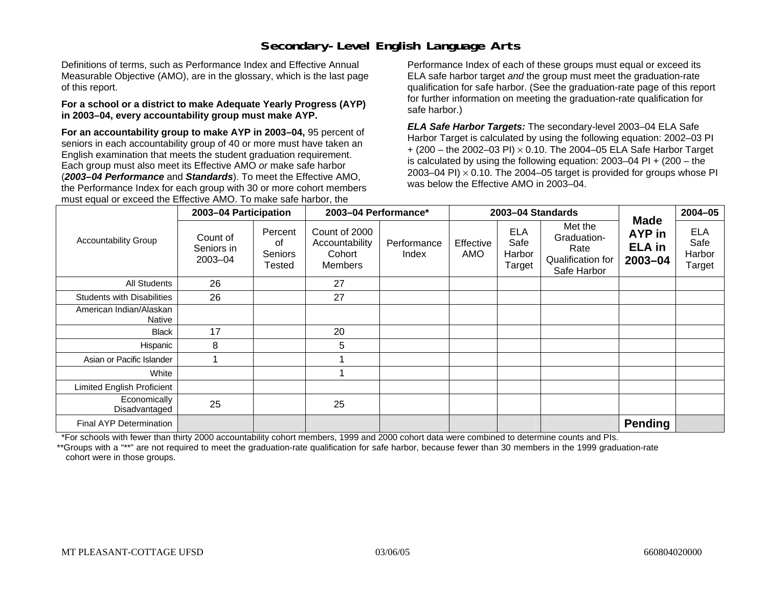## **Secondary-Level English Language Arts**

Definitions of terms, such as Performance Index and Effective Annual Measurable Objective (AMO), are in the glossary, which is the last page of this report.

#### **For a school or a district to make Adequate Yearly Progress (AYP) in 2003–04, every accountability group must make AYP.**

**For an accountability group to make AYP in 2003–04,** 95 percent of seniors in each accountability group of 40 or more must have taken an English examination that meets the student graduation requirement. Each group must also meet its Effective AMO *or* make safe harbor (*2003–04 Performance* and *Standards*). To meet the Effective AMO, the Performance Index for each group with 30 or more cohort members must equal or exceed the Effective AMO. To make safe harbor, the

Performance Index of each of these groups must equal or exceed its ELA safe harbor target *and* the group must meet the graduation-rate qualification for safe harbor. (See the graduation-rate page of this report for further information on meeting the graduation-rate qualification for safe harbor.)

*ELA Safe Harbor Targets:* The secondary-level 2003–04 ELA Safe Harbor Target is calculated by using the following equation: 2002–03 PI + (200 – the 2002–03 PI) <sup>×</sup> 0.10. The 2004–05 ELA Safe Harbor Target is calculated by using the following equation: 2003–04 PI + (200 – the 2003–04 PI)  $\times$  0.10. The 2004–05 target is provided for groups whose PI was below the Effective AMO in 2003–04.

|                                   | 2003-04 Participation             |                                           | 2003-04 Performance*                                        |                      |                  | 2003-04 Standards                      |                                                                    | <b>Made</b>                            | $2004 - 05$                            |
|-----------------------------------|-----------------------------------|-------------------------------------------|-------------------------------------------------------------|----------------------|------------------|----------------------------------------|--------------------------------------------------------------------|----------------------------------------|----------------------------------------|
| <b>Accountability Group</b>       | Count of<br>Seniors in<br>2003-04 | Percent<br>0f<br>Seniors<br><b>Tested</b> | Count of 2000<br>Accountability<br>Cohort<br><b>Members</b> | Performance<br>Index | Effective<br>AMO | <b>ELA</b><br>Safe<br>Harbor<br>Target | Met the<br>Graduation-<br>Rate<br>Qualification for<br>Safe Harbor | AYP in<br><b>ELA</b> in<br>$2003 - 04$ | <b>ELA</b><br>Safe<br>Harbor<br>Target |
| <b>All Students</b>               | 26                                |                                           | 27                                                          |                      |                  |                                        |                                                                    |                                        |                                        |
| <b>Students with Disabilities</b> | 26                                |                                           | 27                                                          |                      |                  |                                        |                                                                    |                                        |                                        |
| American Indian/Alaskan<br>Native |                                   |                                           |                                                             |                      |                  |                                        |                                                                    |                                        |                                        |
| <b>Black</b>                      | 17                                |                                           | 20                                                          |                      |                  |                                        |                                                                    |                                        |                                        |
| Hispanic                          | 8                                 |                                           | 5                                                           |                      |                  |                                        |                                                                    |                                        |                                        |
| Asian or Pacific Islander         |                                   |                                           |                                                             |                      |                  |                                        |                                                                    |                                        |                                        |
| White                             |                                   |                                           |                                                             |                      |                  |                                        |                                                                    |                                        |                                        |
| <b>Limited English Proficient</b> |                                   |                                           |                                                             |                      |                  |                                        |                                                                    |                                        |                                        |
| Economically<br>Disadvantaged     | 25                                |                                           | 25                                                          |                      |                  |                                        |                                                                    |                                        |                                        |
| <b>Final AYP Determination</b>    |                                   |                                           |                                                             |                      |                  |                                        |                                                                    | <b>Pending</b>                         |                                        |

\*For schools with fewer than thirty 2000 accountability cohort members, 1999 and 2000 cohort data were combined to determine counts and PIs.

\*\*Groups with a "\*\*" are not required to meet the graduation-rate qualification for safe harbor, because fewer than 30 members in the 1999 graduation-rate cohort were in those groups.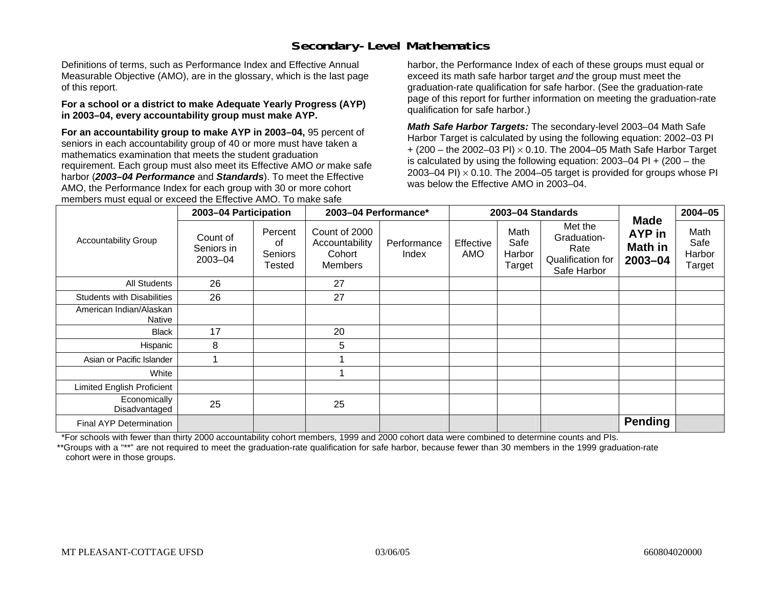## **Secondary-Level Mathematics**

Definitions of terms, such as Performance Index and Effective Annual Measurable Objective (AMO), are in the glossary, which is the last page of this report.

#### **For a school or a district to make Adequate Yearly Progress (AYP) in 2003–04, every accountability group must make AYP.**

**For an accountability group to make AYP in 2003–04,** 95 percent of seniors in each accountability group of 40 or more must have taken a mathematics examination that meets the student graduation requirement. Each group must also meet its Effective AMO *or* make safe harbor (*2003–04 Performance* and *Standards*). To meet the Effective AMO, the Performance Index for each group with 30 or more cohort members must equal or exceed the Effective AMO. To make safe

harbor, the Performance Index of each of these groups must equal or exceed its math safe harbor target *and* the group must meet the graduation-rate qualification for safe harbor. (See the graduation-rate page of this report for further information on meeting the graduation-rate qualification for safe harbor.)

*Math Safe Harbor Targets:* The secondary-level 2003–04 Math Safe Harbor Target is calculated by using the following equation: 2002–03 PI + (200 – the 2002–03 PI) <sup>×</sup> 0.10. The 2004–05 Math Safe Harbor Target is calculated by using the following equation: 2003–04 PI + (200 – the 2003–04 PI)  $\times$  0.10. The 2004–05 target is provided for groups whose PI was below the Effective AMO in 2003–04.

|                                   | 2003-04 Participation             |                                    | 2003-04 Performance*                                        |                      |                  | 2003-04 Standards                |                                                                    |                                             | $2004 - 05$                      |
|-----------------------------------|-----------------------------------|------------------------------------|-------------------------------------------------------------|----------------------|------------------|----------------------------------|--------------------------------------------------------------------|---------------------------------------------|----------------------------------|
| <b>Accountability Group</b>       | Count of<br>Seniors in<br>2003-04 | Percent<br>οf<br>Seniors<br>Tested | Count of 2000<br>Accountability<br>Cohort<br><b>Members</b> | Performance<br>Index | Effective<br>AMO | Math<br>Safe<br>Harbor<br>Target | Met the<br>Graduation-<br>Rate<br>Qualification for<br>Safe Harbor | <b>Made</b><br>AYP in<br>Math in<br>2003-04 | Math<br>Safe<br>Harbor<br>Target |
| All Students                      | 26                                |                                    | 27                                                          |                      |                  |                                  |                                                                    |                                             |                                  |
| <b>Students with Disabilities</b> | 26                                |                                    | 27                                                          |                      |                  |                                  |                                                                    |                                             |                                  |
| American Indian/Alaskan<br>Native |                                   |                                    |                                                             |                      |                  |                                  |                                                                    |                                             |                                  |
| <b>Black</b>                      | 17                                |                                    | 20                                                          |                      |                  |                                  |                                                                    |                                             |                                  |
| Hispanic                          | 8                                 |                                    | 5                                                           |                      |                  |                                  |                                                                    |                                             |                                  |
| Asian or Pacific Islander         |                                   |                                    |                                                             |                      |                  |                                  |                                                                    |                                             |                                  |
| White                             |                                   |                                    |                                                             |                      |                  |                                  |                                                                    |                                             |                                  |
| <b>Limited English Proficient</b> |                                   |                                    |                                                             |                      |                  |                                  |                                                                    |                                             |                                  |
| Economically<br>Disadvantaged     | 25                                |                                    | 25                                                          |                      |                  |                                  |                                                                    |                                             |                                  |
| Final AYP Determination           |                                   |                                    |                                                             |                      |                  |                                  |                                                                    | <b>Pending</b>                              |                                  |

\*For schools with fewer than thirty 2000 accountability cohort members, 1999 and 2000 cohort data were combined to determine counts and PIs.

\*\*Groups with a "\*\*" are not required to meet the graduation-rate qualification for safe harbor, because fewer than 30 members in the 1999 graduation-rate cohort were in those groups.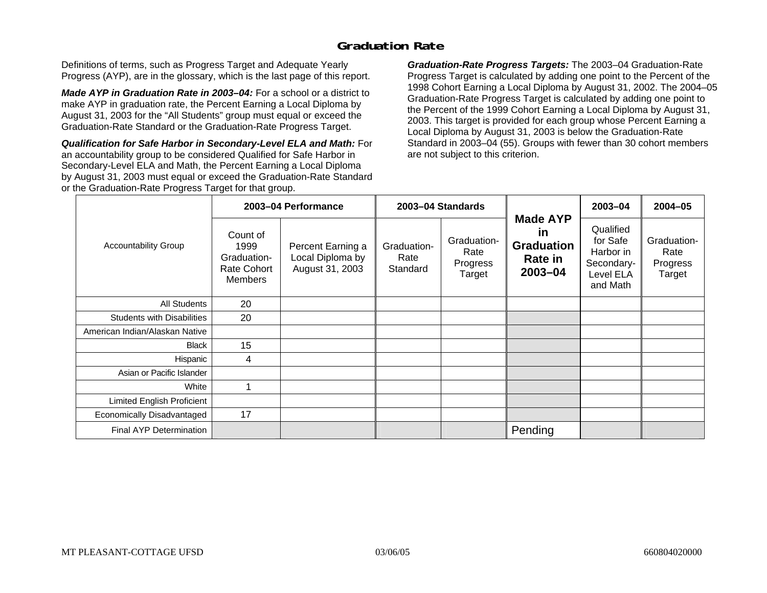### **Graduation Rate**

Definitions of terms, such as Progress Target and Adequate Yearly Progress (AYP), are in the glossary, which is the last page of this report.

*Made AYP in Graduation Rate in 2003–04:* For a school or a district to make AYP in graduation rate, the Percent Earning a Local Diploma by August 31, 2003 for the "All Students" group must equal or exceed the Graduation-Rate Standard or the Graduation-Rate Progress Target.

*Qualification for Safe Harbor in Secondary-Level ELA and Math:* For an accountability group to be considered Qualified for Safe Harbor in Secondary-Level ELA and Math, the Percent Earning a Local Diploma by August 31, 2003 must equal or exceed the Graduation-Rate Standard or the Graduation-Rate Progress Target for that group.

*Graduation-Rate Progress Targets:* The 2003–04 Graduation-Rate Progress Target is calculated by adding one point to the Percent of the 1998 Cohort Earning a Local Diploma by August 31, 2002. The 2004–05 Graduation-Rate Progress Target is calculated by adding one point to the Percent of the 1999 Cohort Earning a Local Diploma by August 31, 2003. This target is provided for each group whose Percent Earning a Local Diploma by August 31, 2003 is below the Graduation-Rate Standard in 2003–04 (55). Groups with fewer than 30 cohort members are not subject to this criterion.

|                                   |                                                                  | 2003-04 Performance                                      |                                 | 2003-04 Standards                         |                                                                                | 2003-04                                                                   | 2004-05                                   |
|-----------------------------------|------------------------------------------------------------------|----------------------------------------------------------|---------------------------------|-------------------------------------------|--------------------------------------------------------------------------------|---------------------------------------------------------------------------|-------------------------------------------|
| <b>Accountability Group</b>       | Count of<br>1999<br>Graduation-<br>Rate Cohort<br><b>Members</b> | Percent Earning a<br>Local Diploma by<br>August 31, 2003 | Graduation-<br>Rate<br>Standard | Graduation-<br>Rate<br>Progress<br>Target | <b>Made AYP</b><br><u>in</u><br><b>Graduation</b><br><b>Rate in</b><br>2003-04 | Qualified<br>for Safe<br>Harbor in<br>Secondary-<br>Level ELA<br>and Math | Graduation-<br>Rate<br>Progress<br>Target |
| All Students                      | 20                                                               |                                                          |                                 |                                           |                                                                                |                                                                           |                                           |
| <b>Students with Disabilities</b> | 20                                                               |                                                          |                                 |                                           |                                                                                |                                                                           |                                           |
| American Indian/Alaskan Native    |                                                                  |                                                          |                                 |                                           |                                                                                |                                                                           |                                           |
| <b>Black</b>                      | 15                                                               |                                                          |                                 |                                           |                                                                                |                                                                           |                                           |
| Hispanic                          | 4                                                                |                                                          |                                 |                                           |                                                                                |                                                                           |                                           |
| Asian or Pacific Islander         |                                                                  |                                                          |                                 |                                           |                                                                                |                                                                           |                                           |
| White                             |                                                                  |                                                          |                                 |                                           |                                                                                |                                                                           |                                           |
| Limited English Proficient        |                                                                  |                                                          |                                 |                                           |                                                                                |                                                                           |                                           |
| Economically Disadvantaged        | 17                                                               |                                                          |                                 |                                           |                                                                                |                                                                           |                                           |
| <b>Final AYP Determination</b>    |                                                                  |                                                          |                                 |                                           | Pending                                                                        |                                                                           |                                           |